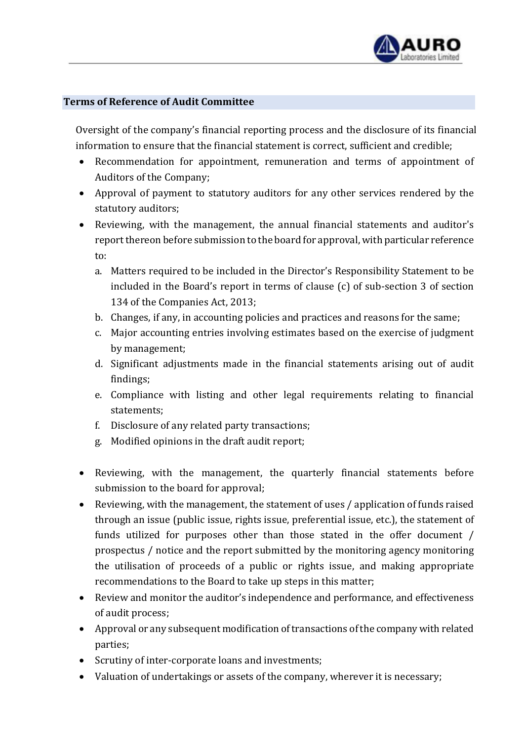

## Terms of Reference of Audit Committee

Oversight of the company's financial reporting process and the disclosure of its financial information to ensure that the financial statement is correct, sufficient and credible;

- Recommendation for appointment, remuneration and terms of appointment of Auditors of the Company;
- Approval of payment to statutory auditors for any other services rendered by the statutory auditors;
- Reviewing, with the management, the annual financial statements and auditor's report thereon before submission to the board for approval, with particular reference to:
	- a. Matters required to be included in the Director's Responsibility Statement to be included in the Board's report in terms of clause (c) of sub-section 3 of section 134 of the Companies Act, 2013;
	- b. Changes, if any, in accounting policies and practices and reasons for the same;
	- c. Major accounting entries involving estimates based on the exercise of judgment by management;
	- d. Significant adjustments made in the financial statements arising out of audit findings;
	- e. Compliance with listing and other legal requirements relating to financial statements;
	- f. Disclosure of any related party transactions;
	- g. Modified opinions in the draft audit report;
- Reviewing, with the management, the quarterly financial statements before submission to the board for approval;
- Reviewing, with the management, the statement of uses / application of funds raised through an issue (public issue, rights issue, preferential issue, etc.), the statement of funds utilized for purposes other than those stated in the offer document / prospectus / notice and the report submitted by the monitoring agency monitoring the utilisation of proceeds of a public or rights issue, and making appropriate recommendations to the Board to take up steps in this matter;
- Review and monitor the auditor's independence and performance, and effectiveness of audit process;
- Approval or any subsequent modification of transactions of the company with related parties;
- Scrutiny of inter-corporate loans and investments;
- Valuation of undertakings or assets of the company, wherever it is necessary;